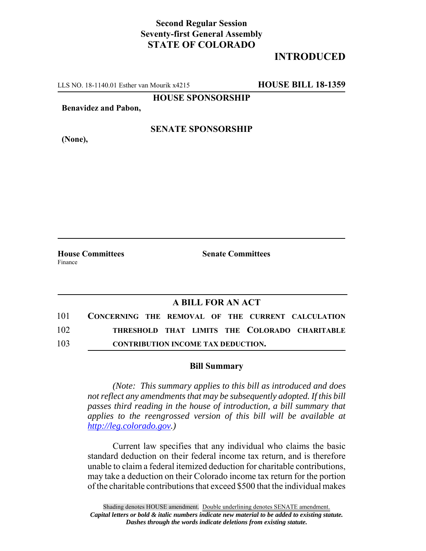## **Second Regular Session Seventy-first General Assembly STATE OF COLORADO**

# **INTRODUCED**

LLS NO. 18-1140.01 Esther van Mourik x4215 **HOUSE BILL 18-1359**

**HOUSE SPONSORSHIP**

**Benavidez and Pabon,**

**(None),**

### **SENATE SPONSORSHIP**

Finance

**House Committees Senate Committees** 

#### **A BILL FOR AN ACT**

| 101 | CONCERNING THE REMOVAL OF THE CURRENT CALCULATION |
|-----|---------------------------------------------------|
| 102 | THRESHOLD THAT LIMITS THE COLORADO CHARITABLE     |
| 103 | <b>CONTRIBUTION INCOME TAX DEDUCTION.</b>         |

#### **Bill Summary**

*(Note: This summary applies to this bill as introduced and does not reflect any amendments that may be subsequently adopted. If this bill passes third reading in the house of introduction, a bill summary that applies to the reengrossed version of this bill will be available at http://leg.colorado.gov.)*

Current law specifies that any individual who claims the basic standard deduction on their federal income tax return, and is therefore unable to claim a federal itemized deduction for charitable contributions, may take a deduction on their Colorado income tax return for the portion of the charitable contributions that exceed \$500 that the individual makes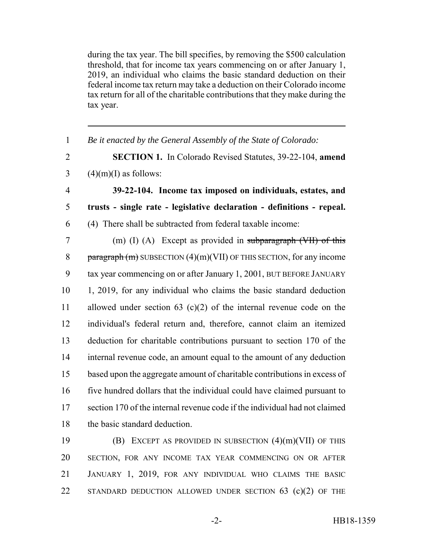during the tax year. The bill specifies, by removing the \$500 calculation threshold, that for income tax years commencing on or after January 1, 2019, an individual who claims the basic standard deduction on their federal income tax return may take a deduction on their Colorado income tax return for all of the charitable contributions that they make during the tax year.

 *Be it enacted by the General Assembly of the State of Colorado:* **SECTION 1.** In Colorado Revised Statutes, 39-22-104, **amend**  $3 \qquad (4)(m)(I)$  as follows: **39-22-104. Income tax imposed on individuals, estates, and trusts - single rate - legislative declaration - definitions - repeal.** (4) There shall be subtracted from federal taxable income: (m) (I) (A) Except as provided in subparagraph (VII) of this 8 paragraph  $(m)$  SUBSECTION  $(4)(m)(VII)$  OF THIS SECTION, for any income tax year commencing on or after January 1, 2001, BUT BEFORE JANUARY 1, 2019, for any individual who claims the basic standard deduction allowed under section 63 (c)(2) of the internal revenue code on the individual's federal return and, therefore, cannot claim an itemized deduction for charitable contributions pursuant to section 170 of the internal revenue code, an amount equal to the amount of any deduction based upon the aggregate amount of charitable contributions in excess of five hundred dollars that the individual could have claimed pursuant to section 170 of the internal revenue code if the individual had not claimed the basic standard deduction.

 (B) EXCEPT AS PROVIDED IN SUBSECTION (4)(m)(VII) OF THIS SECTION, FOR ANY INCOME TAX YEAR COMMENCING ON OR AFTER JANUARY 1, 2019, FOR ANY INDIVIDUAL WHO CLAIMS THE BASIC 22 STANDARD DEDUCTION ALLOWED UNDER SECTION 63 (c)(2) OF THE